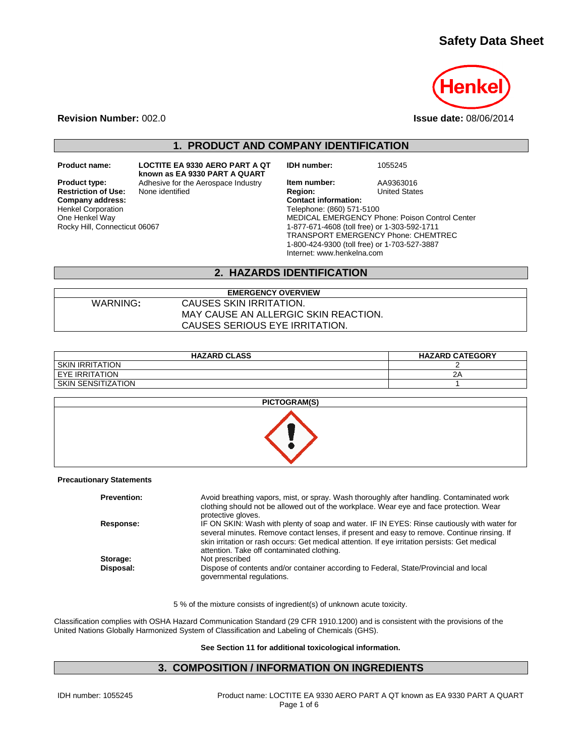# **Safety Data Sheet**



**Revision Number:** 002.0 **Issue date:** 08/06/2014

**1. PRODUCT AND COMPANY IDENTIFICATION**

**known as EA 9330 PART A QUART**

**Restriction of Use:**<br>Company address: Henkel Corporation One Henkel Way Rocky Hill, Connecticut 06067

**Product name: LOCTITE EA 9330 AERO PART A QT** 

**IDH number:** 1055245

**Product type:** Adhesive for the Aerospace Industry **Item number:** AA9363016<br> **Restriction of Use:** None identified **Region:** Region: United States **Company address: Contact information:** Telephone: (860) 571-5100 MEDICAL EMERGENCY Phone: Poison Control Center 1-877-671-4608 (toll free) or 1-303-592-1711 TRANSPORT EMERGENCY Phone: CHEMTREC 1-800-424-9300 (toll free) or 1-703-527-3887 Internet: www.henkelna.com

## **2. HAZARDS IDENTIFICATION**

#### **EMERGENCY OVERVIEW** WARNING**:** CAUSES SKIN IRRITATION. MAY CAUSE AN ALLERGIC SKIN REACTION. CAUSES SERIOUS EYE IRRITATION.

| <b>HAZARD CLASS</b>    | <b>HAZARD CATEGORY</b> |
|------------------------|------------------------|
| <b>SKIN IRRITATION</b> |                        |
| EYE IRRITATION         | ⌒<br>2P                |
| SKIN SENSITIZATION     |                        |



#### **Precautionary Statements**

| <b>Prevention:</b> | Avoid breathing vapors, mist, or spray. Wash thoroughly after handling. Contaminated work<br>clothing should not be allowed out of the workplace. Wear eye and face protection. Wear<br>protective gloves.                                                                                                                                 |
|--------------------|--------------------------------------------------------------------------------------------------------------------------------------------------------------------------------------------------------------------------------------------------------------------------------------------------------------------------------------------|
| Response:          | IF ON SKIN: Wash with plenty of soap and water. IF IN EYES: Rinse cautiously with water for<br>several minutes. Remove contact lenses, if present and easy to remove. Continue rinsing. If<br>skin irritation or rash occurs: Get medical attention. If eye irritation persists: Get medical<br>attention. Take off contaminated clothing. |
| Storage:           | Not prescribed                                                                                                                                                                                                                                                                                                                             |
| Disposal:          | Dispose of contents and/or container according to Federal, State/Provincial and local<br>governmental regulations.                                                                                                                                                                                                                         |

5 % of the mixture consists of ingredient(s) of unknown acute toxicity.

Classification complies with OSHA Hazard Communication Standard (29 CFR 1910.1200) and is consistent with the provisions of the United Nations Globally Harmonized System of Classification and Labeling of Chemicals (GHS).

#### **See Section 11 for additional toxicological information.**

#### **3. COMPOSITION / INFORMATION ON INGREDIENTS**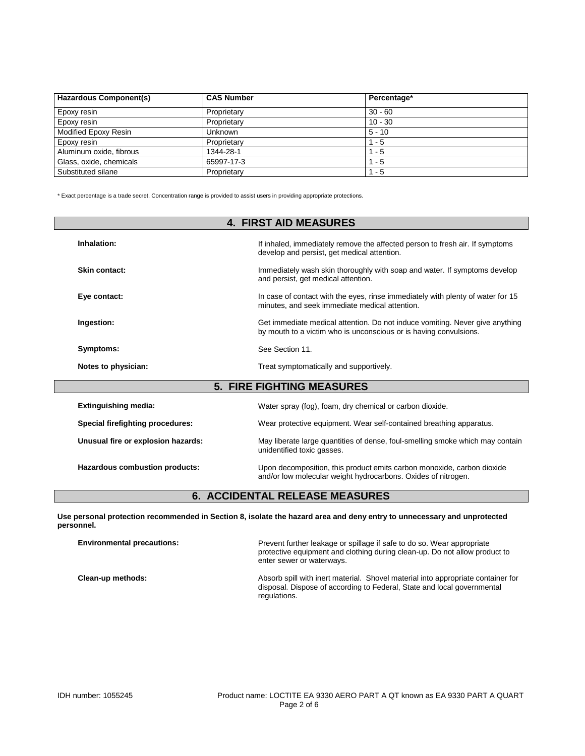| <b>Hazardous Component(s)</b> | <b>CAS Number</b> | Percentage* |
|-------------------------------|-------------------|-------------|
| Epoxy resin                   | Proprietary       | $30 - 60$   |
| Epoxy resin                   | Proprietary       | $10 - 30$   |
| Modified Epoxy Resin          | Unknown           | $5 - 10$    |
| Epoxy resin                   | Proprietary       | $1 - 5$     |
| Aluminum oxide, fibrous       | 1344-28-1         | - 5         |
| Glass, oxide, chemicals       | 65997-17-3        | - 5         |
| Substituted silane            | Proprietary       | - 5         |

\* Exact percentage is a trade secret. Concentration range is provided to assist users in providing appropriate protections.

| <b>4. FIRST AID MEASURES</b>       |                                                                                                                                                   |  |
|------------------------------------|---------------------------------------------------------------------------------------------------------------------------------------------------|--|
| Inhalation:                        | If inhaled, immediately remove the affected person to fresh air. If symptoms<br>develop and persist, get medical attention.                       |  |
| Skin contact:                      | Immediately wash skin thoroughly with soap and water. If symptoms develop<br>and persist, get medical attention.                                  |  |
| Eye contact:                       | In case of contact with the eyes, rinse immediately with plenty of water for 15<br>minutes, and seek immediate medical attention.                 |  |
| Ingestion:                         | Get immediate medical attention. Do not induce vomiting. Never give anything<br>by mouth to a victim who is unconscious or is having convulsions. |  |
| Symptoms:                          | See Section 11.                                                                                                                                   |  |
| Notes to physician:                | Treat symptomatically and supportively.                                                                                                           |  |
|                                    | <b>5. FIRE FIGHTING MEASURES</b>                                                                                                                  |  |
| <b>Extinguishing media:</b>        | Water spray (fog), foam, dry chemical or carbon dioxide.                                                                                          |  |
| Special firefighting procedures:   | Wear protective equipment. Wear self-contained breathing apparatus.                                                                               |  |
| Unusual fire or explosion hazards: | May liberate large quantities of dense, foul-smelling smoke which may contain<br>unidentified toxic gasses.                                       |  |

**Hazardous combustion products:** Upon decomposition, this product emits carbon monoxide, carbon dioxide and/or low molecular weight hydrocarbons. Oxides of nitrogen.

# **6. ACCIDENTAL RELEASE MEASURES**

**Use personal protection recommended in Section 8, isolate the hazard area and deny entry to unnecessary and unprotected personnel.**

| <b>Environmental precautions:</b> | Prevent further leakage or spillage if safe to do so. Wear appropriate<br>protective equipment and clothing during clean-up. Do not allow product to<br>enter sewer or waterways. |
|-----------------------------------|-----------------------------------------------------------------------------------------------------------------------------------------------------------------------------------|
| Clean-up methods:                 | Absorb spill with inert material. Shovel material into appropriate container for<br>disposal. Dispose of according to Federal, State and local governmental<br>regulations.       |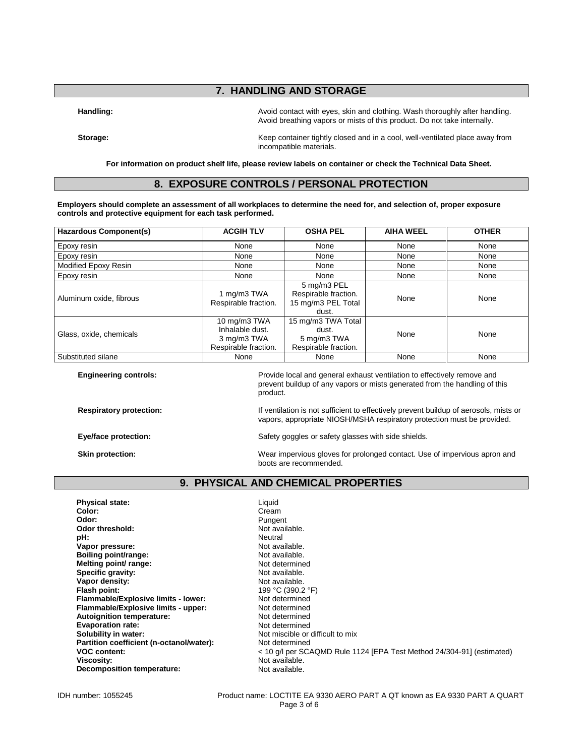# **7. HANDLING AND STORAGE**

**Handling:** Avoid contact with eyes, skin and clothing. Wash thoroughly after handling. Wash thoroughly after handling. Avoid breathing vapors or mists of this product. Do not take internally.

**Storage:** Keep container tightly closed and in a cool, well-ventilated place away from incompatible materials.

**For information on product shelf life, please review labels on container or check the Technical Data Sheet.**

## **8. EXPOSURE CONTROLS / PERSONAL PROTECTION**

**Employers should complete an assessment of all workplaces to determine the need for, and selection of, proper exposure controls and protective equipment for each task performed.**

| <b>Hazardous Component(s)</b> | <b>ACGIH TLV</b>                                                       | <b>OSHA PEL</b>                                                    | <b>AIHA WEEL</b> | <b>OTHER</b> |
|-------------------------------|------------------------------------------------------------------------|--------------------------------------------------------------------|------------------|--------------|
| Epoxy resin                   | None                                                                   | None                                                               | None             | None         |
| Epoxy resin                   | None                                                                   | None                                                               | None             | None         |
| Modified Epoxy Resin          | None                                                                   | None                                                               | None             | None         |
| Epoxy resin                   | None                                                                   | None                                                               | None             | None         |
| Aluminum oxide, fibrous       | 1 mg/m3 TWA<br>Respirable fraction.                                    | 5 mg/m3 PEL<br>Respirable fraction.<br>15 mg/m3 PEL Total<br>dust. | None             | None         |
| Glass, oxide, chemicals       | 10 mg/m3 TWA<br>Inhalable dust.<br>3 mg/m3 TWA<br>Respirable fraction. | 15 mg/m3 TWA Total<br>dust.<br>5 mg/m3 TWA<br>Respirable fraction. | None             | None         |
| Substituted silane            | None                                                                   | None                                                               | None             | None         |

| <b>Engineering controls:</b>   | Provide local and general exhaust ventilation to effectively remove and<br>prevent buildup of any vapors or mists generated from the handling of this<br>product. |
|--------------------------------|-------------------------------------------------------------------------------------------------------------------------------------------------------------------|
| <b>Respiratory protection:</b> | If ventilation is not sufficient to effectively prevent buildup of aerosols, mists or<br>vapors, appropriate NIOSH/MSHA respiratory protection must be provided.  |
| Eye/face protection:           | Safety goggles or safety glasses with side shields.                                                                                                               |
| Skin protection:               | Wear impervious gloves for prolonged contact. Use of impervious apron and<br>boots are recommended.                                                               |

## **9. PHYSICAL AND CHEMICAL PROPERTIES**

| Cream<br>Color:<br>Odor:<br>Pungent<br>Odor threshold:<br>Not available.<br>pH:<br>Neutral<br>Not available.<br>Vapor pressure:<br>Boiling point/range:<br>Not available.<br>Melting point/ range:<br>Not determined<br>Specific gravity:<br>Not available.<br>Vapor density:<br>Not available.<br>199 °C (390.2 °F)<br>Flash point:<br>Flammable/Explosive limits - lower:<br>Not determined<br>Flammable/Explosive limits - upper:<br>Not determined<br>Autoignition temperature:<br>Not determined |
|-------------------------------------------------------------------------------------------------------------------------------------------------------------------------------------------------------------------------------------------------------------------------------------------------------------------------------------------------------------------------------------------------------------------------------------------------------------------------------------------------------|
|                                                                                                                                                                                                                                                                                                                                                                                                                                                                                                       |
|                                                                                                                                                                                                                                                                                                                                                                                                                                                                                                       |
|                                                                                                                                                                                                                                                                                                                                                                                                                                                                                                       |
|                                                                                                                                                                                                                                                                                                                                                                                                                                                                                                       |
|                                                                                                                                                                                                                                                                                                                                                                                                                                                                                                       |
|                                                                                                                                                                                                                                                                                                                                                                                                                                                                                                       |
|                                                                                                                                                                                                                                                                                                                                                                                                                                                                                                       |
|                                                                                                                                                                                                                                                                                                                                                                                                                                                                                                       |
|                                                                                                                                                                                                                                                                                                                                                                                                                                                                                                       |
|                                                                                                                                                                                                                                                                                                                                                                                                                                                                                                       |
|                                                                                                                                                                                                                                                                                                                                                                                                                                                                                                       |
|                                                                                                                                                                                                                                                                                                                                                                                                                                                                                                       |
|                                                                                                                                                                                                                                                                                                                                                                                                                                                                                                       |
| <b>Evaporation rate:</b><br>Not determined                                                                                                                                                                                                                                                                                                                                                                                                                                                            |
| Solubility in water:<br>Not miscible or difficult to mix                                                                                                                                                                                                                                                                                                                                                                                                                                              |
| Partition coefficient (n-octanol/water):<br>Not determined                                                                                                                                                                                                                                                                                                                                                                                                                                            |
| <b>VOC content:</b><br>< 10 g/l per SCAQMD Rule 1124 [EPA Test Method 24/304-91] (estimated)                                                                                                                                                                                                                                                                                                                                                                                                          |
| Not available.<br>Viscosity:                                                                                                                                                                                                                                                                                                                                                                                                                                                                          |
| Decomposition temperature:<br>Not available.                                                                                                                                                                                                                                                                                                                                                                                                                                                          |

IDH number: 1055245 Product name: LOCTITE EA 9330 AERO PART A QT known as EA 9330 PART A QUART Page 3 of 6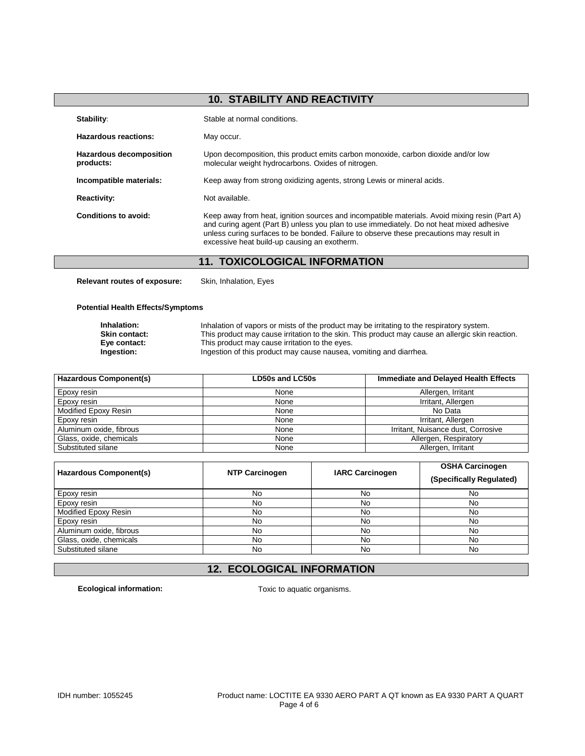|                                             | <b>10. STABILITY AND REACTIVITY</b>                                                                                                                                                                                                                                                                                                  |
|---------------------------------------------|--------------------------------------------------------------------------------------------------------------------------------------------------------------------------------------------------------------------------------------------------------------------------------------------------------------------------------------|
| Stability:                                  | Stable at normal conditions.                                                                                                                                                                                                                                                                                                         |
| Hazardous reactions:                        | May occur.                                                                                                                                                                                                                                                                                                                           |
| <b>Hazardous decomposition</b><br>products: | Upon decomposition, this product emits carbon monoxide, carbon dioxide and/or low<br>molecular weight hydrocarbons. Oxides of nitrogen.                                                                                                                                                                                              |
| Incompatible materials:                     | Keep away from strong oxidizing agents, strong Lewis or mineral acids.                                                                                                                                                                                                                                                               |
| <b>Reactivity:</b>                          | Not available.                                                                                                                                                                                                                                                                                                                       |
| Conditions to avoid:                        | Keep away from heat, ignition sources and incompatible materials. Avoid mixing resin (Part A)<br>and curing agent (Part B) unless you plan to use immediately. Do not heat mixed adhesive<br>unless curing surfaces to be bonded. Failure to observe these precautions may result in<br>excessive heat build-up causing an exotherm. |

# **11. TOXICOLOGICAL INFORMATION**

**Relevant routes of exposure:** Skin, Inhalation, Eyes

#### **Potential Health Effects/Symptoms**

**Inhalation:** Inhalation of vapors or mists of the product may be irritating to the respiratory system. **Skin contact:** This product may cause irritation to the skin. This product may cause an allergic skin reaction. **Eye contact:** This product may cause irritation to the eyes.<br> **Ingestion:** Ingestion of this product may cause nausea, **Ingestion:** Ingestion of this product may cause nausea, vomiting and diarrhea.

| <b>Hazardous Component(s)</b> | <b>Immediate and Delayed Health Effects</b><br>LD50s and LC50s |                                    |
|-------------------------------|----------------------------------------------------------------|------------------------------------|
| Epoxy resin                   | None                                                           | Allergen, Irritant                 |
| Epoxy resin                   | None                                                           | Irritant, Allergen                 |
| Modified Epoxy Resin          | None                                                           | No Data                            |
| Epoxy resin                   | None                                                           | Irritant, Allergen                 |
| Aluminum oxide, fibrous       | None                                                           | Irritant, Nuisance dust, Corrosive |
| Glass, oxide, chemicals       | None                                                           | Allergen, Respiratory              |
| Substituted silane            | None                                                           | Allergen, Irritant                 |

| Hazardous Component(s)  | <b>NTP Carcinogen</b> | <b>IARC Carcinogen</b> | <b>OSHA Carcinogen</b><br>(Specifically Regulated) |
|-------------------------|-----------------------|------------------------|----------------------------------------------------|
| Epoxy resin             | No                    | No                     | No                                                 |
| Epoxy resin             | No                    | No                     | No                                                 |
| Modified Epoxy Resin    | No                    | No                     | No                                                 |
| Epoxy resin             | No                    | No                     | No                                                 |
| Aluminum oxide, fibrous | No                    | No                     | No                                                 |
| Glass, oxide, chemicals | No                    | No                     | No                                                 |
| Substituted silane      | No                    | No                     | No                                                 |

# **12. ECOLOGICAL INFORMATION**

**Ecological information:** Toxic to aquatic organisms.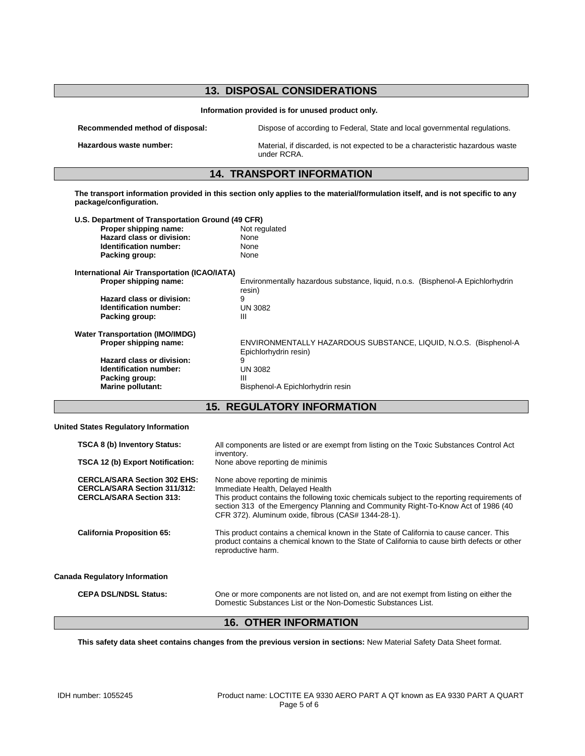| <b>13. DISPOSAL CONSIDERATIONS</b>                  |                                                                                                                                |  |  |
|-----------------------------------------------------|--------------------------------------------------------------------------------------------------------------------------------|--|--|
| Information provided is for unused product only.    |                                                                                                                                |  |  |
| Recommended method of disposal:                     | Dispose of according to Federal, State and local governmental regulations.                                                     |  |  |
| Hazardous waste number:                             | Material, if discarded, is not expected to be a characteristic hazardous waste<br>under RCRA.                                  |  |  |
|                                                     | <b>14. TRANSPORT INFORMATION</b>                                                                                               |  |  |
| package/configuration.                              | The transport information provided in this section only applies to the material/formulation itself, and is not specific to any |  |  |
| U.S. Department of Transportation Ground (49 CFR)   |                                                                                                                                |  |  |
| Proper shipping name:                               | Not regulated                                                                                                                  |  |  |
| Hazard class or division:                           | None                                                                                                                           |  |  |
| Identification number:                              | None                                                                                                                           |  |  |
| Packing group:                                      | None                                                                                                                           |  |  |
| <b>International Air Transportation (ICAO/IATA)</b> |                                                                                                                                |  |  |
| Proper shipping name:                               | Environmentally hazardous substance, liquid, n.o.s. (Bisphenol-A Epichlorhydrin<br>resin)                                      |  |  |
| Hazard class or division:                           | 9                                                                                                                              |  |  |
| Identification number:                              | <b>UN 3082</b>                                                                                                                 |  |  |
| Packing group:                                      | Ш                                                                                                                              |  |  |
| <b>Water Transportation (IMO/IMDG)</b>              |                                                                                                                                |  |  |
| Proper shipping name:                               | ENVIRONMENTALLY HAZARDOUS SUBSTANCE, LIQUID, N.O.S. (Bisphenol-A<br>Epichlorhydrin resin)                                      |  |  |
| Hazard class or division:                           | 9                                                                                                                              |  |  |
| Identification number:                              | <b>UN 3082</b>                                                                                                                 |  |  |
| Packing group:                                      | Ш                                                                                                                              |  |  |
| Marine pollutant:                                   | Bisphenol-A Epichlorhydrin resin                                                                                               |  |  |
|                                                     |                                                                                                                                |  |  |
|                                                     | <b>15. REGULATORY INFORMATION</b>                                                                                              |  |  |

#### **United States Regulatory Information**

| TSCA 8 (b) Inventory Status:<br>TSCA 12 (b) Export Notification:                                              | All components are listed or are exempt from listing on the Toxic Substances Control Act<br>inventory.<br>None above reporting de minimis                                                                                                                                                                       |
|---------------------------------------------------------------------------------------------------------------|-----------------------------------------------------------------------------------------------------------------------------------------------------------------------------------------------------------------------------------------------------------------------------------------------------------------|
| <b>CERCLA/SARA Section 302 EHS:</b><br><b>CERCLA/SARA Section 311/312:</b><br><b>CERCLA/SARA Section 313:</b> | None above reporting de minimis<br>Immediate Health, Delayed Health<br>This product contains the following toxic chemicals subject to the reporting requirements of<br>section 313 of the Emergency Planning and Community Right-To-Know Act of 1986 (40<br>CFR 372). Aluminum oxide, fibrous (CAS# 1344-28-1). |
| <b>California Proposition 65:</b>                                                                             | This product contains a chemical known in the State of California to cause cancer. This<br>product contains a chemical known to the State of California to cause birth defects or other<br>reproductive harm.                                                                                                   |
| Canada Regulatory Information                                                                                 |                                                                                                                                                                                                                                                                                                                 |
| <b>CEPA DSL/NDSL Status:</b>                                                                                  | One or more components are not listed on, and are not exempt from listing on either the<br>Domestic Substances List or the Non-Domestic Substances List.                                                                                                                                                        |

# **16. OTHER INFORMATION**

**This safety data sheet contains changes from the previous version in sections:** New Material Safety Data Sheet format.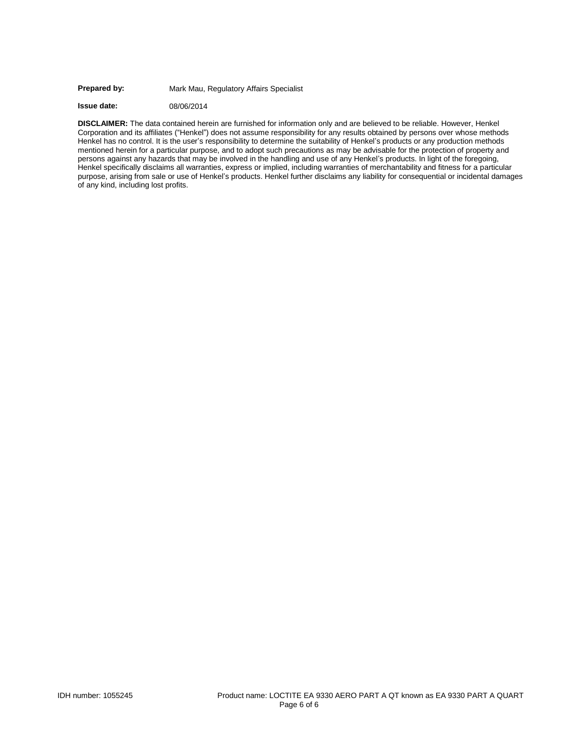#### Prepared by: Mark Mau, Regulatory Affairs Specialist

**Issue date:** 08/06/2014

**DISCLAIMER:** The data contained herein are furnished for information only and are believed to be reliable. However, Henkel Corporation and its affiliates ("Henkel") does not assume responsibility for any results obtained by persons over whose methods Henkel has no control. It is the user's responsibility to determine the suitability of Henkel's products or any production methods mentioned herein for a particular purpose, and to adopt such precautions as may be advisable for the protection of property and persons against any hazards that may be involved in the handling and use of any Henkel's products. In light of the foregoing, Henkel specifically disclaims all warranties, express or implied, including warranties of merchantability and fitness for a particular purpose, arising from sale or use of Henkel's products. Henkel further disclaims any liability for consequential or incidental damages of any kind, including lost profits.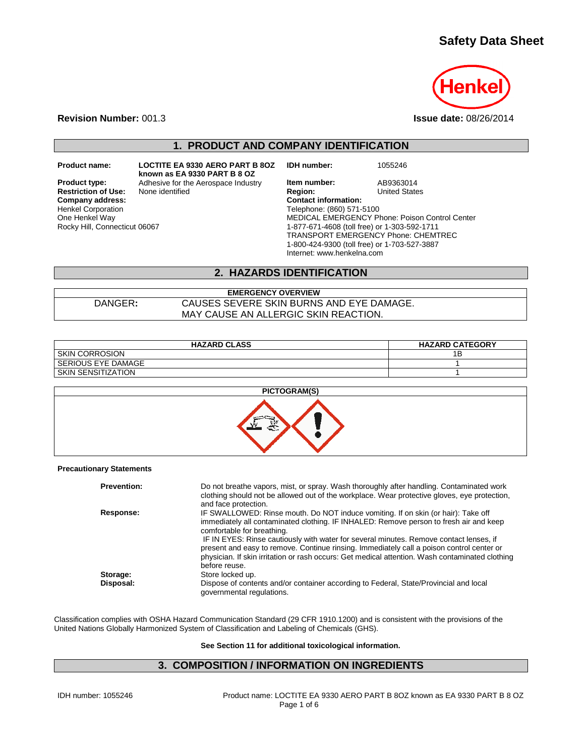# **Safety Data Sheet**



**Revision Number:** 001.3 **Issue date:** 08/26/2014

**1. PRODUCT AND COMPANY IDENTIFICATION**

**Restriction of Use:**<br>Company address: Henkel Corporation One Henkel Way Rocky Hill, Connecticut 06067

**Product name: LOCTITE EA 9330 AERO PART B 8OZ known as EA 9330 PART B 8 OZ Product type:** Adhesive for the Aerospace Industry **Item number:** AB9363014<br> **Restriction of Use:** None identified **Region:** Region: United States

**IDH number:** 1055246

**Company address: Contact information:** Telephone: (860) 571-5100 MEDICAL EMERGENCY Phone: Poison Control Center 1-877-671-4608 (toll free) or 1-303-592-1711 TRANSPORT EMERGENCY Phone: CHEMTREC 1-800-424-9300 (toll free) or 1-703-527-3887 Internet: www.henkelna.com

## **2. HAZARDS IDENTIFICATION**

**EMERGENCY OVERVIEW** DANGER**:** CAUSES SEVERE SKIN BURNS AND EYE DAMAGE. MAY CAUSE AN ALLERGIC SKIN REACTION.

| <b>HAZARD CLASS</b>       | <b>HAZARD CATEGORY</b> |
|---------------------------|------------------------|
| <b>SKIN CORROSION</b>     | ıв                     |
| l SERIOUS EYE DAMAGE      |                        |
| <b>SKIN SENSITIZATION</b> |                        |



#### **Precautionary Statements**

| <b>Prevention:</b> | Do not breathe vapors, mist, or spray. Wash thoroughly after handling. Contaminated work<br>clothing should not be allowed out of the workplace. Wear protective gloves, eye protection,<br>and face protection.                                                                                                                                                                                                                                                                                                     |
|--------------------|----------------------------------------------------------------------------------------------------------------------------------------------------------------------------------------------------------------------------------------------------------------------------------------------------------------------------------------------------------------------------------------------------------------------------------------------------------------------------------------------------------------------|
| Response:          | IF SWALLOWED: Rinse mouth. Do NOT induce vomiting. If on skin (or hair): Take off<br>immediately all contaminated clothing. IF INHALED: Remove person to fresh air and keep<br>comfortable for breathing.<br>IF IN EYES: Rinse cautiously with water for several minutes. Remove contact lenses, if<br>present and easy to remove. Continue rinsing. Immediately call a poison control center or<br>physician. If skin irritation or rash occurs: Get medical attention. Wash contaminated clothing<br>before reuse. |
| Storage:           | Store locked up.                                                                                                                                                                                                                                                                                                                                                                                                                                                                                                     |
| Disposal:          | Dispose of contents and/or container according to Federal, State/Provincial and local<br>governmental regulations.                                                                                                                                                                                                                                                                                                                                                                                                   |

Classification complies with OSHA Hazard Communication Standard (29 CFR 1910.1200) and is consistent with the provisions of the United Nations Globally Harmonized System of Classification and Labeling of Chemicals (GHS).

**See Section 11 for additional toxicological information.**

## **3. COMPOSITION / INFORMATION ON INGREDIENTS**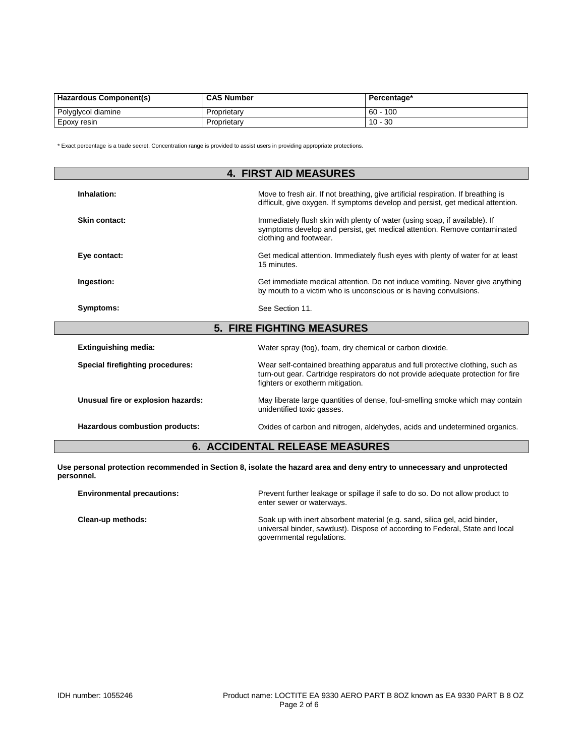| Hazardous Component(s) | <b>CAS Number</b> | Percentage* |
|------------------------|-------------------|-------------|
| Polyglycol diamine     | Proprietary       | 100<br>- 60 |
| Epoxy resin            | Proprietary       | $10 - 30$   |

\* Exact percentage is a trade secret. Concentration range is provided to assist users in providing appropriate protections.

| <b>4. FIRST AID MEASURES</b>       |                                                                                                                                                                                                       |  |
|------------------------------------|-------------------------------------------------------------------------------------------------------------------------------------------------------------------------------------------------------|--|
| Inhalation:                        | Move to fresh air. If not breathing, give artificial respiration. If breathing is<br>difficult, give oxygen. If symptoms develop and persist, get medical attention.                                  |  |
| Skin contact:                      | Immediately flush skin with plenty of water (using soap, if available). If<br>symptoms develop and persist, get medical attention. Remove contaminated<br>clothing and footwear.                      |  |
| Eye contact:                       | Get medical attention. Immediately flush eyes with plenty of water for at least<br>15 minutes.                                                                                                        |  |
| Ingestion:                         | Get immediate medical attention. Do not induce vomiting. Never give anything<br>by mouth to a victim who is unconscious or is having convulsions.                                                     |  |
| Symptoms:                          | See Section 11.                                                                                                                                                                                       |  |
|                                    | <b>5. FIRE FIGHTING MEASURES</b>                                                                                                                                                                      |  |
| <b>Extinguishing media:</b>        | Water spray (fog), foam, dry chemical or carbon dioxide.                                                                                                                                              |  |
| Special firefighting procedures:   | Wear self-contained breathing apparatus and full protective clothing, such as<br>turn-out gear. Cartridge respirators do not provide adequate protection for fire<br>fighters or exotherm mitigation. |  |
| Unusual fire or explosion hazards: | May liberate large quantities of dense, foul-smelling smoke which may contain<br>unidentified toxic gasses.                                                                                           |  |
| Hazardous combustion products:     | Oxides of carbon and nitrogen, aldehydes, acids and undetermined organics.                                                                                                                            |  |

# **6. ACCIDENTAL RELEASE MEASURES**

**Use personal protection recommended in Section 8, isolate the hazard area and deny entry to unnecessary and unprotected personnel.**

| <b>Environmental precautions:</b> | Prevent further leakage or spillage if safe to do so. Do not allow product to<br>enter sewer or waterways.                                                                              |
|-----------------------------------|-----------------------------------------------------------------------------------------------------------------------------------------------------------------------------------------|
| Clean-up methods:                 | Soak up with inert absorbent material (e.g. sand, silica gel, acid binder,<br>universal binder, sawdust). Dispose of according to Federal, State and local<br>governmental regulations. |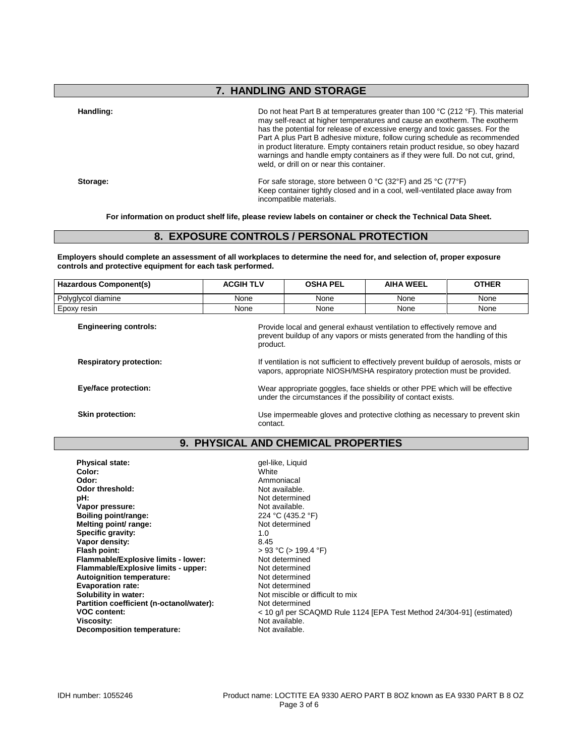## **7. HANDLING AND STORAGE**

**Handling:** Do not heat Part B at temperatures greater than 100 °C (212 °F). This material may self-react at higher temperatures and cause an exotherm. The exotherm has the potential for release of excessive energy and toxic gasses. For the Part A plus Part B adhesive mixture, follow curing schedule as recommended in product literature. Empty containers retain product residue, so obey hazard warnings and handle empty containers as if they were full. Do not cut, grind, weld, or drill on or near this container.

**Storage:** For safe storage, store between 0 °C (32°F) and 25 °C (77°F) Keep container tightly closed and in a cool, well-ventilated place away from incompatible materials.

**For information on product shelf life, please review labels on container or check the Technical Data Sheet.**

## **8. EXPOSURE CONTROLS / PERSONAL PROTECTION**

**Employers should complete an assessment of all workplaces to determine the need for, and selection of, proper exposure controls and protective equipment for each task performed.**

| <b>Hazardous Component(s)</b>  | <b>ACGIH TLV</b>                                                                                                                                                  | <b>OSHA PEL</b> | <b>AIHA WEEL</b> | <b>OTHER</b> |
|--------------------------------|-------------------------------------------------------------------------------------------------------------------------------------------------------------------|-----------------|------------------|--------------|
| Polyglycol diamine             | None                                                                                                                                                              | None            | None             | None         |
| Epoxy resin                    | None                                                                                                                                                              | None            | None             | None         |
| <b>Engineering controls:</b>   | Provide local and general exhaust ventilation to effectively remove and<br>prevent buildup of any vapors or mists generated from the handling of this<br>product. |                 |                  |              |
| <b>Respiratory protection:</b> | If ventilation is not sufficient to effectively prevent buildup of aerosols, mists or<br>vapors, appropriate NIOSH/MSHA respiratory protection must be provided.  |                 |                  |              |

**Eye/face protection:** Wear appropriate goggles, face shields or other PPE which will be effective under the circumstances if the possibility of contact exists.

**Skin protection:** Use impermeable gloves and protective clothing as necessary to prevent skin contact.

#### **9. PHYSICAL AND CHEMICAL PROPERTIES**

**Physical state:** gel-like, Liquid **Color:** gel-like, Liquid **Color:** gel-like, Liquid **Color:** gelearation and the color of the color of the color of the color of the color of the color of the color of the color of the co **Color:** White **Odor:** Ammoniacal **Odor threshold:** Not available. **pH:**<br> **Vapor pressure:**<br> **Vapor pressure:**<br> **Vapor pressure:** .<br>Vapor pressure: **Boiling point/range:** 224 °C (435.2 °F)<br> **Melting point/ range:** 224 °C (435.2 °F) **Melting point/ range:** Not determined the Not determined the Not determined the Not determined the Not determined the Not determined the Not determined the Not determined the Not determined the Not determined the Not dete Specific gravity: Vapor density: 8.45 **Flash point:**  $> 93 °C (> 199.4 °F)$ <br> **Flammable/Explosive limits - lower:** Not determined **Flammable/Explosive limits - lower:** Not determined<br> **Flammable/Explosive limits - upper:** Not determined **Flammable/Explosive limits - upper:** Not determined<br> **Autoignition temperature:** Not determined **Autoignition temperature:** Not determined<br> **Evanoration rate:** Not determined **Evaporation rate:**<br>Solubility in water: Partition coefficient (n-octanol/water):<br>VOC content: **Decomposition temperature:** 

Not miscible or difficult to mix<br>Not determined **VOC content:**  $\leftarrow$  10 g/l per SCAQMD Rule 1124 [EPA Test Method 24/304-91] (estimated)<br>Viscosity: Not available. Not available.<br>Not available.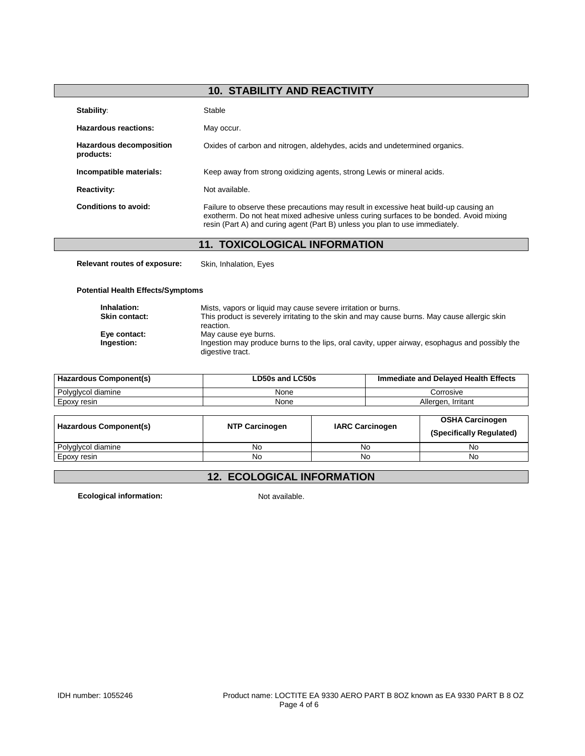# **10. STABILITY AND REACTIVITY**

| Stability:                                  | Stable                                                                                                                                                                                                                                                          |
|---------------------------------------------|-----------------------------------------------------------------------------------------------------------------------------------------------------------------------------------------------------------------------------------------------------------------|
| Hazardous reactions:                        | May occur.                                                                                                                                                                                                                                                      |
| <b>Hazardous decomposition</b><br>products: | Oxides of carbon and nitrogen, aldehydes, acids and undetermined organics.                                                                                                                                                                                      |
| Incompatible materials:                     | Keep away from strong oxidizing agents, strong Lewis or mineral acids.                                                                                                                                                                                          |
| <b>Reactivity:</b>                          | Not available.                                                                                                                                                                                                                                                  |
| Conditions to avoid:                        | Failure to observe these precautions may result in excessive heat build-up causing an<br>exotherm. Do not heat mixed adhesive unless curing surfaces to be bonded. Avoid mixing<br>resin (Part A) and curing agent (Part B) unless you plan to use immediately. |

## **11. TOXICOLOGICAL INFORMATION**

**Relevant routes of exposure:** Skin, Inhalation, Eyes

**Potential Health Effects/Symptoms**

| Inhalation:          | Mists, vapors or liquid may cause severe irritation or burns.                                                      |
|----------------------|--------------------------------------------------------------------------------------------------------------------|
| <b>Skin contact:</b> | This product is severely irritating to the skin and may cause burns. May cause allergic skin<br>reaction.          |
| Eye contact:         | May cause eye burns.                                                                                               |
| Ingestion:           | Ingestion may produce burns to the lips, oral cavity, upper airway, esophagus and possibly the<br>digestive tract. |

| Hazardous Component(s) | LD50s and LC50s | Immediate and Delayed Health Effects |
|------------------------|-----------------|--------------------------------------|
| Polyglycol diamine     | None            | Corrosive                            |
| Epoxy resin            | None            | Allergen, Irritant                   |

| Hazardous Component(s) | <b>NTP Carcinogen</b> | <b>IARC Carcinogen</b> | <b>OSHA Carcinogen</b><br>(Specifically Regulated) |
|------------------------|-----------------------|------------------------|----------------------------------------------------|
| Polyglycol diamine     | No                    | No                     | No                                                 |
| Epoxy resin            | No                    | No                     | No                                                 |

# **12. ECOLOGICAL INFORMATION**

**Ecological information:** Not available.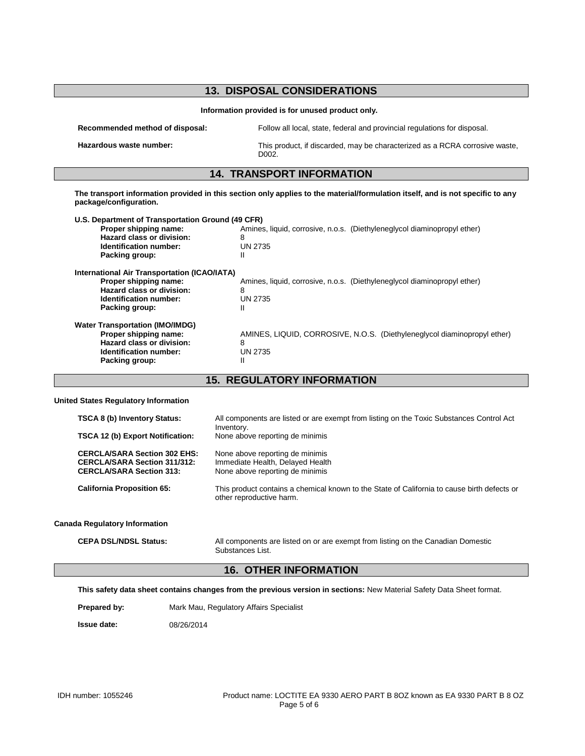| <b>13. DISPOSAL CONSIDERATIONS</b>                                                                                                                                                                                                                                                                                                                                                                                      |                                                                                                      |  |
|-------------------------------------------------------------------------------------------------------------------------------------------------------------------------------------------------------------------------------------------------------------------------------------------------------------------------------------------------------------------------------------------------------------------------|------------------------------------------------------------------------------------------------------|--|
| Information provided is for unused product only.                                                                                                                                                                                                                                                                                                                                                                        |                                                                                                      |  |
| Follow all local, state, federal and provincial regulations for disposal.<br>Recommended method of disposal:                                                                                                                                                                                                                                                                                                            |                                                                                                      |  |
| Hazardous waste number:<br>This product, if discarded, may be characterized as a RCRA corrosive waste,<br>D002.                                                                                                                                                                                                                                                                                                         |                                                                                                      |  |
|                                                                                                                                                                                                                                                                                                                                                                                                                         | <b>14. TRANSPORT INFORMATION</b>                                                                     |  |
| The transport information provided in this section only applies to the material/formulation itself, and is not specific to any<br>package/configuration.<br>U.S. Department of Transportation Ground (49 CFR)<br>Proper shipping name:<br>Amines, liquid, corrosive, n.o.s. (Diethyleneglycol diaminopropyl ether)<br>Hazard class or division:<br>8<br>Identification number:<br><b>UN 2735</b><br>Packing group:<br>Ш |                                                                                                      |  |
| International Air Transportation (ICAO/IATA)<br>Proper shipping name:<br>Amines, liquid, corrosive, n.o.s. (Diethyleneglycol diaminopropyl ether)<br>Hazard class or division:<br>8<br>Identification number:<br><b>UN 2735</b><br>Packing group:<br>Ш                                                                                                                                                                  |                                                                                                      |  |
| <b>Water Transportation (IMO/IMDG)</b><br>Proper shipping name:<br>Hazard class or division:<br>Identification number:<br>Packing group:                                                                                                                                                                                                                                                                                | AMINES, LIQUID, CORROSIVE, N.O.S. (Diethyleneglycol diaminopropyl ether)<br>8<br><b>UN 2735</b><br>Ш |  |

**15. REGULATORY INFORMATION**

#### **United States Regulatory Information**

| <b>TSCA 8 (b) Inventory Status:</b>                                                                                                                | All components are listed or are exempt from listing on the Toxic Substances Control Act                                                                                                                                          |
|----------------------------------------------------------------------------------------------------------------------------------------------------|-----------------------------------------------------------------------------------------------------------------------------------------------------------------------------------------------------------------------------------|
| <b>TSCA 12 (b) Export Notification:</b>                                                                                                            | Inventory.<br>None above reporting de minimis                                                                                                                                                                                     |
| <b>CERCLA/SARA Section 302 EHS:</b><br><b>CERCLA/SARA Section 311/312:</b><br><b>CERCLA/SARA Section 313:</b><br><b>California Proposition 65:</b> | None above reporting de minimis<br>Immediate Health, Delayed Health<br>None above reporting de minimis<br>This product contains a chemical known to the State of California to cause birth defects or<br>other reproductive harm. |
| <b>Canada Regulatory Information</b>                                                                                                               |                                                                                                                                                                                                                                   |
| <b>CEPA DSL/NDSL Status:</b>                                                                                                                       | All components are listed on or are exempt from listing on the Canadian Domestic<br>Substances List.                                                                                                                              |

# **16. OTHER INFORMATION**

**This safety data sheet contains changes from the previous version in sections:** New Material Safety Data Sheet format.

Prepared by: Mark Mau, Regulatory Affairs Specialist

**Issue date:** 08/26/2014